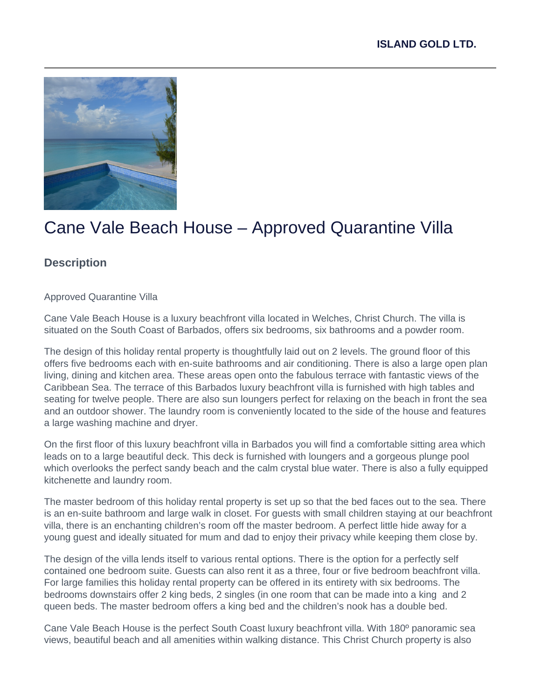

# Cane Vale Beach House – Approved Quarantine Villa

# **Description**

Approved Quarantine Villa

Cane Vale Beach House is a luxury beachfront villa located in Welches, Christ Church. The villa is situated on the South Coast of Barbados, offers six bedrooms, six bathrooms and a powder room.

The design of this holiday rental property is thoughtfully laid out on 2 levels. The ground floor of this offers five bedrooms each with en-suite bathrooms and air conditioning. There is also a large open plan living, dining and kitchen area. These areas open onto the fabulous terrace with fantastic views of the Caribbean Sea. The terrace of this Barbados luxury beachfront villa is furnished with high tables and seating for twelve people. There are also sun loungers perfect for relaxing on the beach in front the sea and an outdoor shower. The laundry room is conveniently located to the side of the house and features a large washing machine and dryer.

On the first floor of this luxury beachfront villa in Barbados you will find a comfortable sitting area which leads on to a large beautiful deck. This deck is furnished with loungers and a gorgeous plunge pool which overlooks the perfect sandy beach and the calm crystal blue water. There is also a fully equipped kitchenette and laundry room.

The master bedroom of this holiday rental property is set up so that the bed faces out to the sea. There is an en-suite bathroom and large walk in closet. For guests with small children staying at our beachfront villa, there is an enchanting children's room off the master bedroom. A perfect little hide away for a young guest and ideally situated for mum and dad to enjoy their privacy while keeping them close by.

The design of the villa lends itself to various rental options. There is the option for a perfectly self contained one bedroom suite. Guests can also rent it as a three, four or five bedroom beachfront villa. For large families this holiday rental property can be offered in its entirety with six bedrooms. The bedrooms downstairs offer 2 king beds, 2 singles (in one room that can be made into a king and 2 queen beds. The master bedroom offers a king bed and the children's nook has a double bed.

Cane Vale Beach House is the perfect South Coast luxury beachfront villa. With 180º panoramic sea views, beautiful beach and all amenities within walking distance. This Christ Church property is also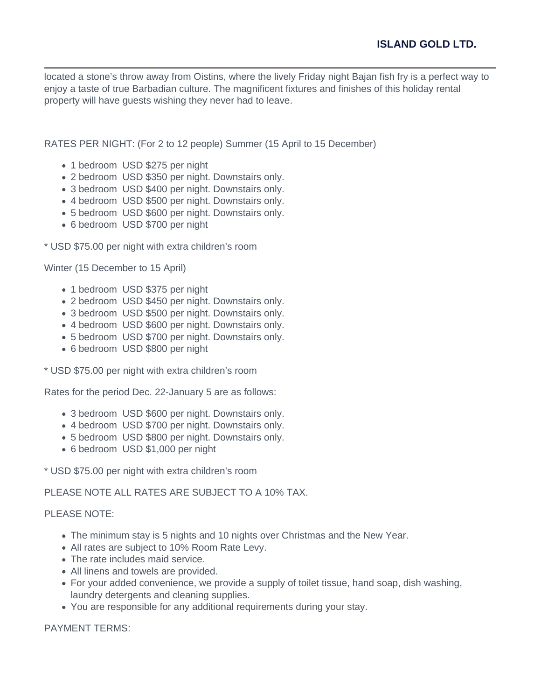located a stone's throw away from Oistins, where the lively Friday night Bajan fish fry is a perfect way to enjoy a taste of true Barbadian culture. The magnificent fixtures and finishes of this holiday rental property will have guests wishing they never had to leave.

RATES PER NIGHT: (For 2 to 12 people) Summer (15 April to 15 December)

- 1 bedroom USD \$275 per night
- 2 bedroom USD \$350 per night. Downstairs only.
- 3 bedroom USD \$400 per night. Downstairs only.
- 4 bedroom USD \$500 per night. Downstairs only.
- 5 bedroom USD \$600 per night. Downstairs only.
- 6 bedroom USD \$700 per night

\* USD \$75.00 per night with extra children's room

Winter (15 December to 15 April)

- 1 bedroom USD \$375 per night
- 2 bedroom USD \$450 per night. Downstairs only.
- 3 bedroom USD \$500 per night. Downstairs only.
- 4 bedroom USD \$600 per night. Downstairs only.
- 5 bedroom USD \$700 per night. Downstairs only.
- 6 bedroom USD \$800 per night

\* USD \$75.00 per night with extra children's room

Rates for the period Dec. 22-January 5 are as follows:

- 3 bedroom USD \$600 per night. Downstairs only.
- 4 bedroom USD \$700 per night. Downstairs only.
- 5 bedroom USD \$800 per night. Downstairs only.
- 6 bedroom USD \$1,000 per night

\* USD \$75.00 per night with extra children's room

PLEASE NOTE ALL RATES ARE SUBJECT TO A 10% TAX.

#### PLEASE NOTE:

- The minimum stay is 5 nights and 10 nights over Christmas and the New Year.
- All rates are subject to 10% Room Rate Levy.
- The rate includes maid service.
- All linens and towels are provided.
- For your added convenience, we provide a supply of toilet tissue, hand soap, dish washing, laundry detergents and cleaning supplies.
- You are responsible for any additional requirements during your stay.

#### PAYMENT TERMS: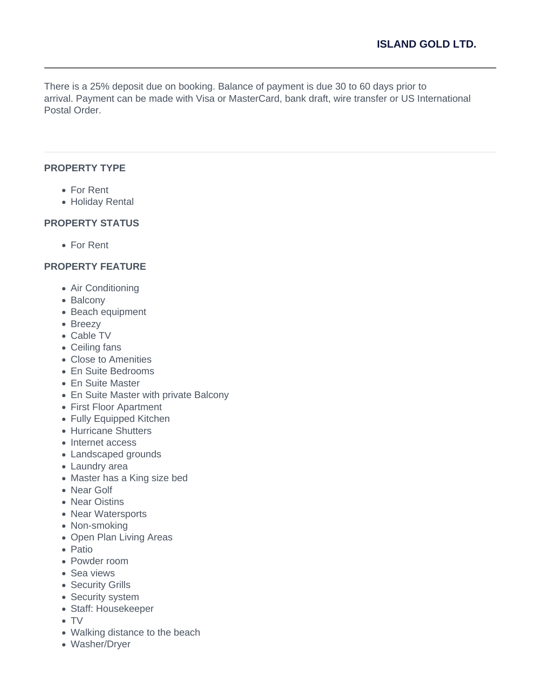There is a 25% deposit due on booking. Balance of payment is due 30 to 60 days prior to arrival. Payment can be made with Visa or MasterCard, bank draft, wire transfer or US International Postal Order.

### **PROPERTY TYPE**

- For Rent
- Holiday Rental

### **PROPERTY STATUS**

For Rent

# **PROPERTY FEATURE**

- Air Conditioning
- Balcony
- Beach equipment
- Breezy
- Cable TV
- Ceiling fans
- Close to Amenities
- En Suite Bedrooms
- En Suite Master
- En Suite Master with private Balcony
- First Floor Apartment
- Fully Equipped Kitchen
- Hurricane Shutters
- Internet access
- Landscaped grounds
- Laundry area
- Master has a King size bed
- Near Golf
- Near Oistins
- Near Watersports
- Non-smoking
- Open Plan Living Areas
- Patio
- Powder room
- Sea views
- Security Grills
- Security system
- Staff: Housekeeper
- TV
- Walking distance to the beach
- Washer/Dryer